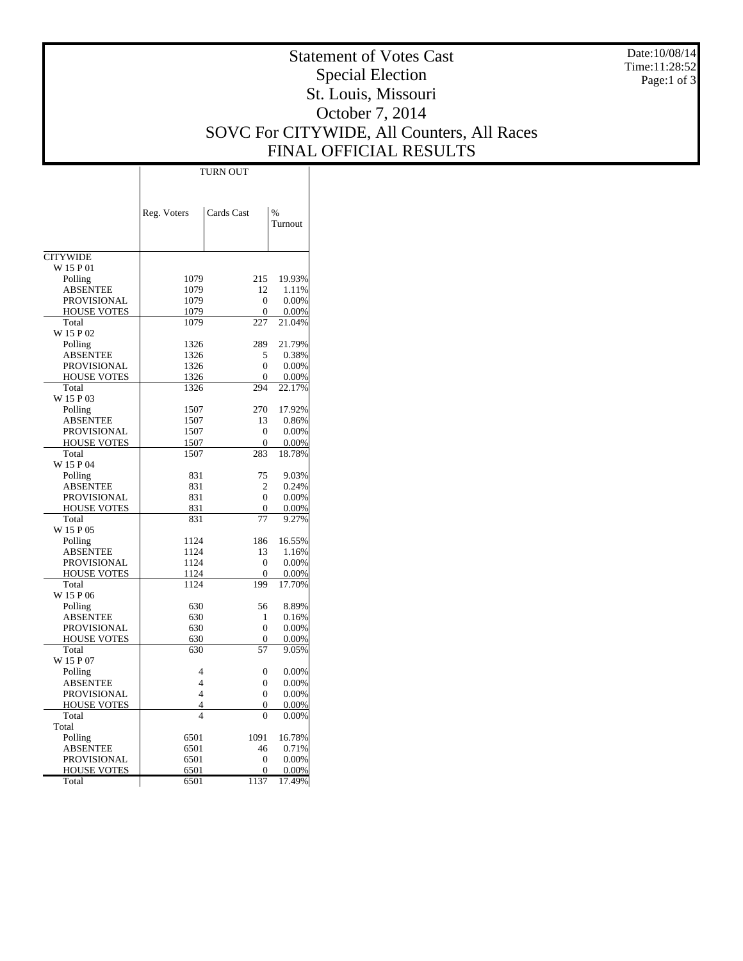Date:10/08/14 Time:11:28:52 Page:1 of 3

## Statement of Votes Cast Special Election St. Louis, Missouri October 7, 2014 SOVC For CITYWIDE, All Counters, All Races FINAL OFFICIAL RESULTS

|                                   | Reg. Voters              | Cards Cast           | $\frac{0}{0}$<br>Turnout |
|-----------------------------------|--------------------------|----------------------|--------------------------|
| <b>CITYWIDE</b>                   |                          |                      |                          |
| W 15 P 01                         |                          |                      |                          |
| Polling                           | 1079<br>215              |                      | 19.93%                   |
| ABSENTEE                          | 1079                     |                      | 1.11%                    |
| <b>PROVISIONAL</b>                | 1079                     | 12<br>$\overline{0}$ | 0.00%                    |
| <b>HOUSE VOTES</b>                | 1079                     | 0                    | 0.00%                    |
| Total                             | 1079                     | 227                  | 21.04%                   |
| W 15 P 02                         |                          |                      |                          |
| Polling                           | 1326                     | 289                  | 21.79%                   |
| <b>ABSENTEE</b>                   | 1326                     | 5                    | 0.38%                    |
| <b>PROVISIONAL</b>                | 1326                     | $\theta$             | 0.00%                    |
| <b>HOUSE VOTES</b>                | 1326                     | $\overline{0}$       | 0.00%                    |
| Total                             | 1326                     | 294                  | 22.17%                   |
| W 15 P 03                         |                          |                      |                          |
| Polling                           | 1507                     | 270                  | 17.92%                   |
| ABSENTEE                          | 1507                     | 13                   | 0.86%                    |
| <b>PROVISIONAL</b>                | 1507                     | $\mathbf{0}$         | 0.00%                    |
| HOUSE VOTES                       | 1507                     | $\overline{0}$       | 0.00%                    |
| Total                             | 1507                     | 283                  | 18.78%                   |
| W 15 P 04                         |                          |                      |                          |
| Polling                           | 831                      | 75                   | 9.03%                    |
| ABSENTEE                          | 831                      | 2<br>$\mathbf{0}$    | 0.24%                    |
| <b>PROVISIONAL</b>                | 831                      |                      | 0.00%                    |
| <b>HOUSE VOTES</b>                | 831                      |                      | $\mathbf{0}$<br>0.00%    |
| Total                             | 831                      | 77                   | 9.27%                    |
| W 15 P 05                         |                          | 186                  |                          |
| Polling                           | 1124                     |                      | 16.55%                   |
| ABSENTEE                          | 1124                     |                      | 1.16%                    |
| PROVISIONAL<br><b>HOUSE VOTES</b> | 1124<br>1124             |                      | 0.00%<br>0.00%           |
| Total                             | 1124                     |                      | 17.70%                   |
| W 15 P 06                         |                          | 199                  |                          |
| Polling                           | 630                      | 56                   | 8.89%                    |
| ABSENTEE                          | 630                      | 1                    | 0.16%                    |
| PROVISIONAL                       | 630                      | 0                    | 0.00%                    |
| <b>HOUSE VOTES</b>                | 630                      | $\overline{0}$       | 0.00%                    |
| Total                             | 630                      | 57                   | 9.05%                    |
| W 15 P 07                         |                          |                      |                          |
| Polling                           | 4                        | $\overline{0}$       | 0.00%                    |
| ABSENTEE                          | 4                        | $\overline{0}$       | 0.00%                    |
| PROVISIONAL                       | 4                        | $\overline{0}$       | 0.00%                    |
| <b>HOUSE VOTES</b>                | 4                        | 0                    | 0.00%                    |
| Total                             | $\overline{\mathcal{L}}$ | $\theta$             | 0.00%                    |
| Total                             |                          |                      |                          |
| Polling                           | 6501                     | 1091                 | 16.78%                   |
| ABSENTEE                          | 6501                     | 46                   | 0.71%                    |
| PROVISIONAL                       | 6501                     | $\overline{0}$       | 0.00%                    |
| <b>HOUSE VOTES</b>                | 6501                     | $\theta$             | 0.00%                    |
| Total                             | 6501                     | 1137                 | 17.49%                   |

TURN OUT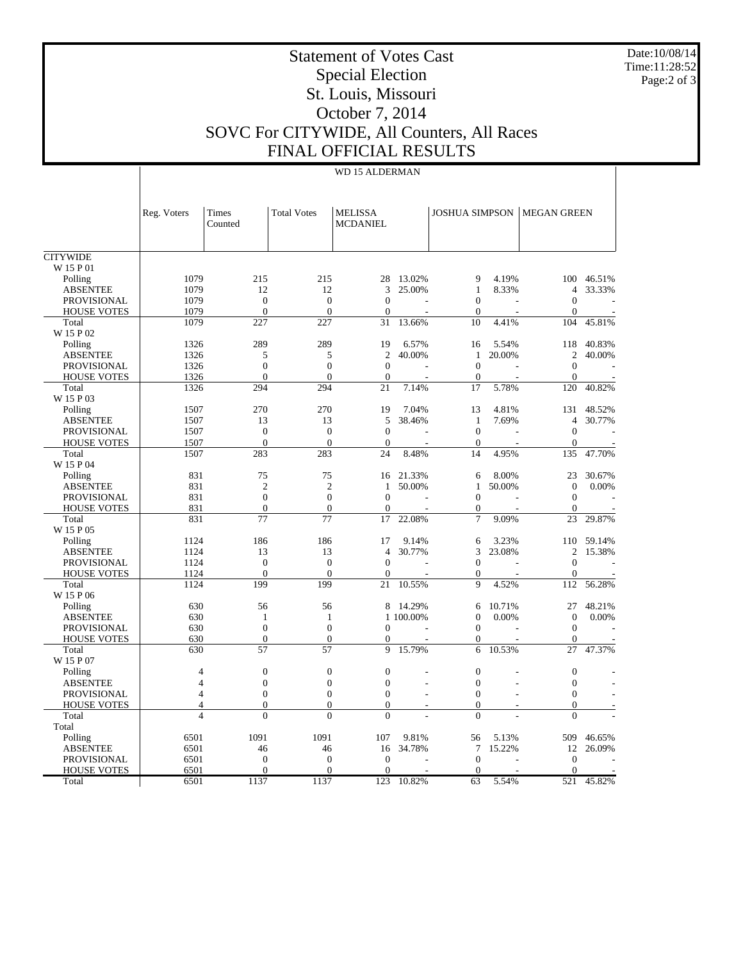Date:10/08/14 Time:11:28:52 Page:2 of 3

## Statement of Votes Cast Special Election St. Louis, Missouri October 7, 2014 SOVC For CITYWIDE, All Counters, All Races FINAL OFFICIAL RESULTS

## WD 15 ALDERMAN

|                              | Reg. Voters    | Times<br>Counted | <b>Total Votes</b> | <b>MELISSA</b><br><b>MCDANIEL</b> |           |                  |        | <b>JOSHUA SIMPSON   MEGAN GREEN</b> |                          |
|------------------------------|----------------|------------------|--------------------|-----------------------------------|-----------|------------------|--------|-------------------------------------|--------------------------|
|                              |                |                  |                    |                                   |           |                  |        |                                     |                          |
| <b>CITYWIDE</b><br>W 15 P 01 |                |                  |                    |                                   |           |                  |        |                                     |                          |
|                              | 1079           | 215              | 215                | 28                                | 13.02%    | 9                | 4.19%  | 100                                 | 46.51%                   |
| Polling<br><b>ABSENTEE</b>   | 1079           | 12               | 12                 | 3                                 | 25.00%    | $\mathbf{1}$     | 8.33%  | 4                                   | 33.33%                   |
| <b>PROVISIONAL</b>           | 1079           | $\overline{0}$   | $\mathbf{0}$       | $\mathbf{0}$                      |           | $\mathbf{0}$     |        | $\mathbf{0}$                        |                          |
| <b>HOUSE VOTES</b>           | 1079           | $\overline{0}$   | $\overline{0}$     | $\mathbf{0}$                      |           | $\mathbf{0}$     |        | $\mathbf{0}$                        |                          |
| Total                        | 1079           | 227              | 227                | 31                                | 13.66%    | 10               | 4.41%  | 104                                 | 45.81%                   |
| W 15 P 02                    |                |                  |                    |                                   |           |                  |        |                                     |                          |
| Polling                      | 1326           | 289              | 289                | 19                                | 6.57%     | 16               | 5.54%  | 118                                 | 40.83%                   |
| <b>ABSENTEE</b>              | 1326           | 5                | 5                  | $\overline{c}$                    | 40.00%    | 1                | 20.00% | $\overline{c}$                      | 40.00%                   |
| <b>PROVISIONAL</b>           | 1326           | $\boldsymbol{0}$ | $\Omega$           | $\theta$                          |           | $\boldsymbol{0}$ |        | $\boldsymbol{0}$                    | J.                       |
| <b>HOUSE VOTES</b>           | 1326           | $\overline{0}$   | $\Omega$           | $\mathbf{0}$                      |           | $\overline{0}$   |        | $\overline{0}$                      | $\overline{\phantom{a}}$ |
| Total                        | 1326           | 294              | 294                | 21                                | 7.14%     | 17               | 5.78%  | 120                                 | 40.82%                   |
| W 15 P 03                    |                |                  |                    |                                   |           |                  |        |                                     |                          |
| Polling                      | 1507           | 270              | 270                | 19                                | 7.04%     | 13               | 4.81%  | 131                                 | 48.52%                   |
| <b>ABSENTEE</b>              | 1507           | 13               | 13                 | 5                                 | 38.46%    | 1                | 7.69%  | $\overline{4}$                      | 30.77%                   |
| <b>PROVISIONAL</b>           | 1507           | $\mathbf{0}$     | $\mathbf{0}$       | $\mathbf{0}$                      | L,        | $\boldsymbol{0}$ |        | $\boldsymbol{0}$                    |                          |
| <b>HOUSE VOTES</b>           | 1507           | $\mathbf{0}$     | $\mathbf{0}$       | $\mathbf{0}$                      |           | $\boldsymbol{0}$ |        | $\mathbf{0}$                        |                          |
| Total                        | 1507           | 283              | 283                | 24                                | 8.48%     | 14               | 4.95%  | 135                                 | 47.70%                   |
| W 15 P 04                    |                |                  |                    |                                   |           |                  |        |                                     |                          |
| Polling                      | 831            | 75               | 75                 | 16                                | 21.33%    | 6                | 8.00%  | 23                                  | 30.67%                   |
| <b>ABSENTEE</b>              | 831            | $\overline{2}$   | $\overline{2}$     | $\mathbf{1}$                      | 50.00%    | $\mathbf{1}$     | 50.00% | $\overline{0}$                      | 0.00%                    |
| <b>PROVISIONAL</b>           | 831            | $\overline{0}$   | $\overline{0}$     | $\overline{0}$                    | L,        | $\overline{0}$   | ÷,     | $\mathbf{0}$                        | $\overline{\phantom{a}}$ |
| <b>HOUSE VOTES</b>           | 831            | $\Omega$         | $\Omega$           | $\Omega$                          |           | $\overline{0}$   |        | $\mathbf{0}$                        |                          |
| Total                        | 831            | 77               | 77                 | 17                                | 22.08%    | $\tau$           | 9.09%  | 23                                  | 29.87%                   |
| W 15 P 05                    |                |                  |                    |                                   |           |                  |        |                                     |                          |
| Polling                      | 1124           | 186              | 186                | 17                                | 9.14%     | 6                | 3.23%  | 110                                 | 59.14%                   |
| <b>ABSENTEE</b>              | 1124           | 13               | 13                 | $\overline{4}$                    | 30.77%    | 3                | 23.08% | 2                                   | 15.38%                   |
| <b>PROVISIONAL</b>           | 1124           | $\boldsymbol{0}$ | $\boldsymbol{0}$   | $\boldsymbol{0}$                  |           | $\boldsymbol{0}$ |        | $\boldsymbol{0}$                    |                          |
| <b>HOUSE VOTES</b>           | 1124           | $\overline{0}$   | $\overline{0}$     | $\mathbf{0}$                      |           | $\overline{0}$   |        | $\boldsymbol{0}$                    |                          |
| Total                        | 1124           | 199              | 199                | 21                                | 10.55%    | 9                | 4.52%  | 112                                 | 56.28%                   |
| W 15 P 06                    |                |                  |                    |                                   |           |                  |        |                                     |                          |
| Polling                      | 630            | 56               | 56                 | 8                                 | 14.29%    | 6                | 10.71% | 27                                  | 48.21%                   |
| <b>ABSENTEE</b>              | 630            | 1                | 1                  |                                   | 1 100,00% | $\mathbf{0}$     | 0.00%  | $\mathbf{0}$                        | 0.00%                    |
| <b>PROVISIONAL</b>           | 630            | $\overline{0}$   | $\mathbf{0}$       | $\mathbf{0}$                      |           | $\boldsymbol{0}$ |        | $\mathbf{0}$                        | ÷.                       |
| <b>HOUSE VOTES</b>           | 630            | $\overline{0}$   | $\mathbf{0}$       | $\boldsymbol{0}$                  |           | $\mathbf{0}$     |        | $\mathbf{0}$                        |                          |
| Total                        | 630            | 57               | 57                 | 9                                 | 15.79%    | 6                | 10.53% | 27                                  | 47.37%                   |
| W 15 P 07                    |                |                  |                    |                                   |           |                  |        |                                     |                          |
| Polling                      | $\overline{4}$ | $\overline{0}$   | $\overline{0}$     | $\mathbf{0}$                      |           | $\boldsymbol{0}$ |        | $\overline{0}$                      |                          |
| <b>ABSENTEE</b>              | $\overline{4}$ | $\mathbf{0}$     | $\overline{0}$     | $\mathbf{0}$                      |           | $\overline{0}$   |        | $\mathbf{0}$                        |                          |
| <b>PROVISIONAL</b>           | 4              | $\theta$         | $\theta$           | $\Omega$                          |           | $\boldsymbol{0}$ |        | $\boldsymbol{0}$                    |                          |
| <b>HOUSE VOTES</b>           | $\overline{4}$ | $\overline{0}$   | $\overline{0}$     | $\overline{0}$                    | ٠         | $\mathbf{0}$     | L,     | $\overline{0}$                      |                          |
| Total                        | $\overline{4}$ | $\theta$         | $\theta$           | $\overline{0}$                    |           | $\overline{0}$   |        | $\overline{0}$                      |                          |
| Total                        |                |                  |                    |                                   |           |                  |        |                                     |                          |
| Polling                      | 6501           | 1091             | 1091               | 107                               | 9.81%     | 56               | 5.13%  | 509                                 | 46.65%                   |
| <b>ABSENTEE</b>              | 6501           | 46               | 46                 | 16                                | 34.78%    | $\tau$           | 15.22% | 12                                  | 26.09%                   |
| <b>PROVISIONAL</b>           | 6501           | $\overline{0}$   | $\overline{0}$     | $\theta$                          |           | $\overline{0}$   |        | $\mathbf{0}$                        |                          |
| <b>HOUSE VOTES</b>           | 6501           | $\overline{0}$   | $\mathbf{0}$       | $\mathbf{0}$                      |           | $\mathbf{0}$     |        | $\mathbf{0}$                        |                          |
| Total                        | 6501           | 1137             | 1137               | 123                               | 10.82%    | 63               | 5.54%  | 521                                 | 45.82%                   |